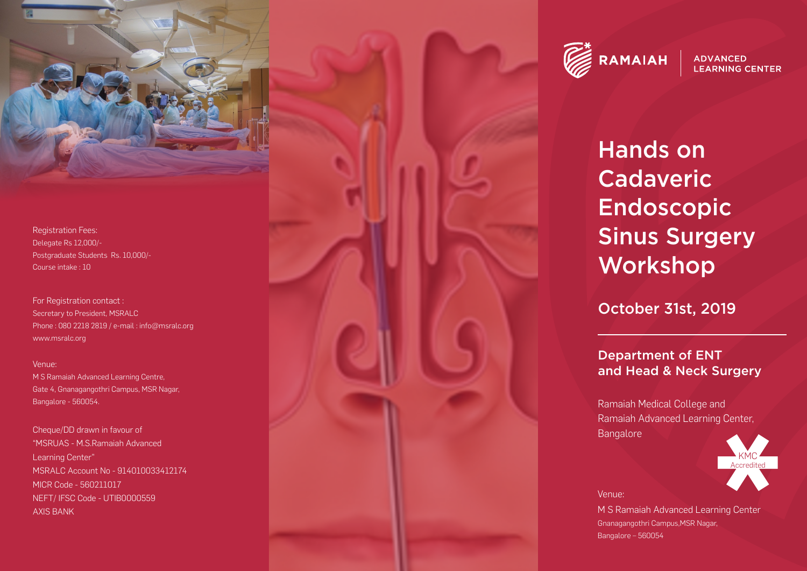

Registration Fees: Delegate Rs 12,000/- Postgraduate Students Rs. 10,000/- Course intake : 10

For Registration contact : Secretary to President, MSRAL C Phone : 080 2218 2819 / e-mail : info@msralc.org www.msralc.org

#### Venue:

M S Ramaiah Advanced Learning Centre, Gate 4, Gnanagangothri Campus, MSR Nagar, Bangalore - 560054.

Cheque/DD dr awn in fa vour of "MSRU AS - M.S.Ramaiah Advanced Learning Center" MSRALC Account No - 91401003341217 4 MICR Code - 560211017 NEFT/ IFSC Code - UTIB0000559 AXIS BANK



**ADVANCED LEARNING CENTER** 

# Hands on Cada veric Endoscopic Sinus Surgery Workshop

October 31st, 2019

## Department of ENT and Head & Neck Surgery

Ramaiah Medical College and<br>
Ramaiah Advanced Learning Center,<br>
Bangalore<br>
Venue:<br>
M S Ramaiah Advanced Learning Cente<br>
Gnanagangothri Campus,MSR Nagar,<br>
Bangalore – 560054 Bangalore



Venue:

M S Ramaiah Advanced Learning Center Gnanagangothri Campus,MSR Nagar,